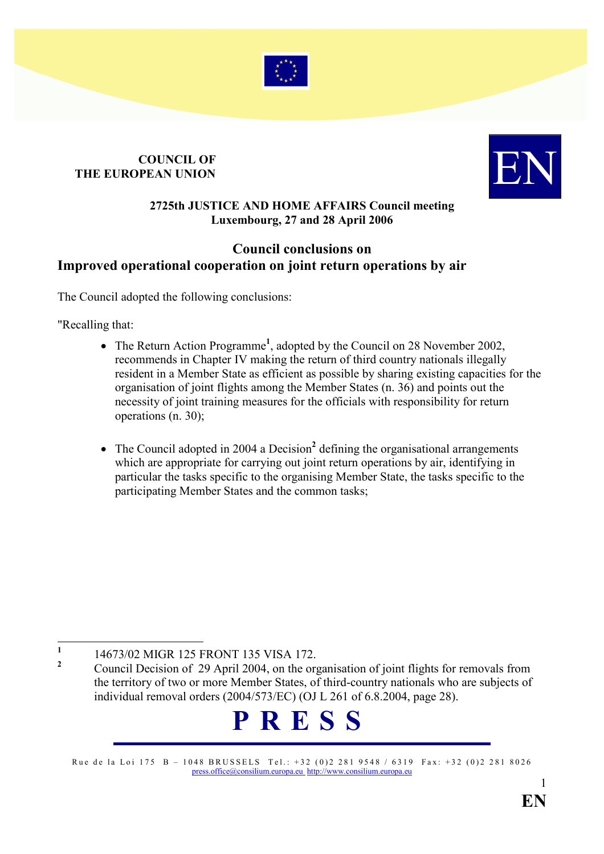

### COUNCIL OF COUNCIL OF THE EUROPEAN UNION



#### 2725th JUSTICE AND HOME AFFAIRS Council meeting Luxembourg, 27 and 28 April 2006

### Council conclusions on Improved operational cooperation on joint return operations by air

The Council adopted the following conclusions:

"Recalling that:

- The Return Action Programme<sup>1</sup>, adopted by the Council on 28 November 2002, recommends in Chapter IV making the return of third country nationals illegally resident in a Member State as efficient as possible by sharing existing capacities for the organisation of joint flights among the Member States (n. 36) and points out the necessity of joint training measures for the officials with responsibility for return operations (n. 30);
- The Council adopted in 2004 a Decision<sup>2</sup> defining the organisational arrangements which are appropriate for carrying out joint return operations by air, identifying in particular the tasks specific to the organising Member State, the tasks specific to the participating Member States and the common tasks;

 $\frac{1}{1}$ 14673/02 MIGR 125 FRONT 135 VISA 172.

# P R E S S

Rue de la Loi 175 B - 1048 BRUSSELS Tel.: +32 (0)2 281 9548 / 6319 Fax: +32 (0)2 281 8026 [press.office@consilium.europa.eu](mailto:press.office@consilium.europa.eu) [http://www.consilium.europa.eu](http://www.consilium.europa.eu/)

<sup>2</sup> Council Decision of 29 April 2004, on the organisation of joint flights for removals from the territory of two or more Member States, of third-country nationals who are subjects of individual removal orders (2004/573/EC) (OJ L 261 of 6.8.2004, page 28).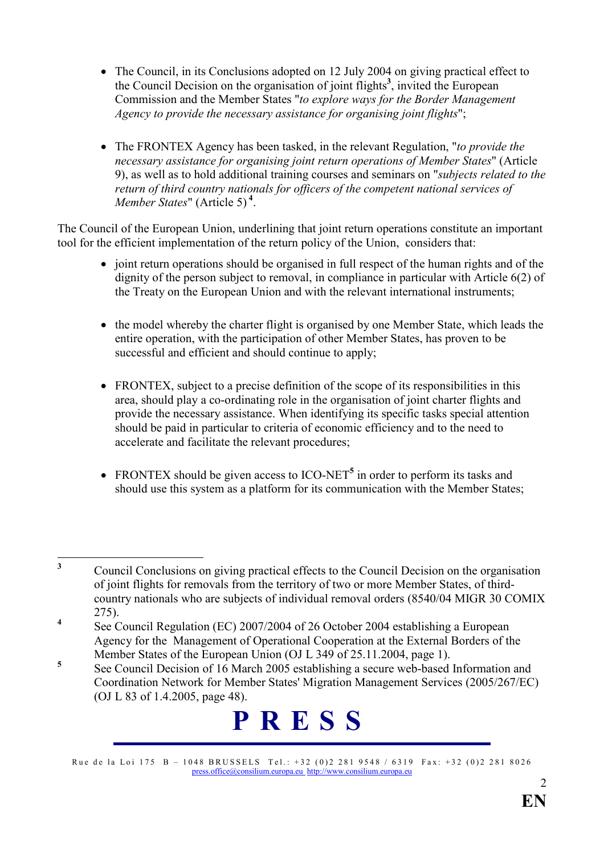- The Council, in its Conclusions adopted on 12 July 2004 on giving practical effect to the Council Decision on the organisation of joint flights<sup>3</sup>, invited the European Commission and the Member States "to explore ways for the Border Management Agency to provide the necessary assistance for organising joint flights";
- The FRONTEX Agency has been tasked, in the relevant Regulation, "to provide the necessary assistance for organising joint return operations of Member States" (Article 9), as well as to hold additional training courses and seminars on "subjects related to the return of third country nationals for officers of the competent national services of Member States" (Article 5)<sup>4</sup>.

The Council of the European Union, underlining that joint return operations constitute an important tool for the efficient implementation of the return policy of the Union, considers that:

- joint return operations should be organised in full respect of the human rights and of the dignity of the person subject to removal, in compliance in particular with Article 6(2) of the Treaty on the European Union and with the relevant international instruments;
- the model whereby the charter flight is organised by one Member State, which leads the entire operation, with the participation of other Member States, has proven to be successful and efficient and should continue to apply;
- FRONTEX, subject to a precise definition of the scope of its responsibilities in this area, should play a co-ordinating role in the organisation of joint charter flights and provide the necessary assistance. When identifying its specific tasks special attention should be paid in particular to criteria of economic efficiency and to the need to accelerate and facilitate the relevant procedures;
- FRONTEX should be given access to  $ICO-NET<sup>5</sup>$  in order to perform its tasks and should use this system as a platform for its communication with the Member States;

# P R E S S

Rue de la Loi 175 B - 1048 BRUSSELS Tel.: +32 (0)2 281 9548 / 6319 Fax: +32 (0)2 281 8026 [press.office@consilium.europa.eu](mailto:press.office@consilium.europa.eu) [http://www.consilium.europa.eu](http://www.consilium.europa.eu/)

 $\frac{1}{3}$  Council Conclusions on giving practical effects to the Council Decision on the organisation of joint flights for removals from the territory of two or more Member States, of thirdcountry nationals who are subjects of individual removal orders (8540/04 MIGR 30 COMIX 275).

<sup>4</sup> See Council Regulation (EC) 2007/2004 of 26 October 2004 establishing a European Agency for the Management of Operational Cooperation at the External Borders of the Member States of the European Union (OJ L 349 of 25.11.2004, page 1).

<sup>5</sup> See Council Decision of 16 March 2005 establishing a secure web-based Information and Coordination Network for Member States' Migration Management Services (2005/267/EC) (OJ L 83 of 1.4.2005, page 48).